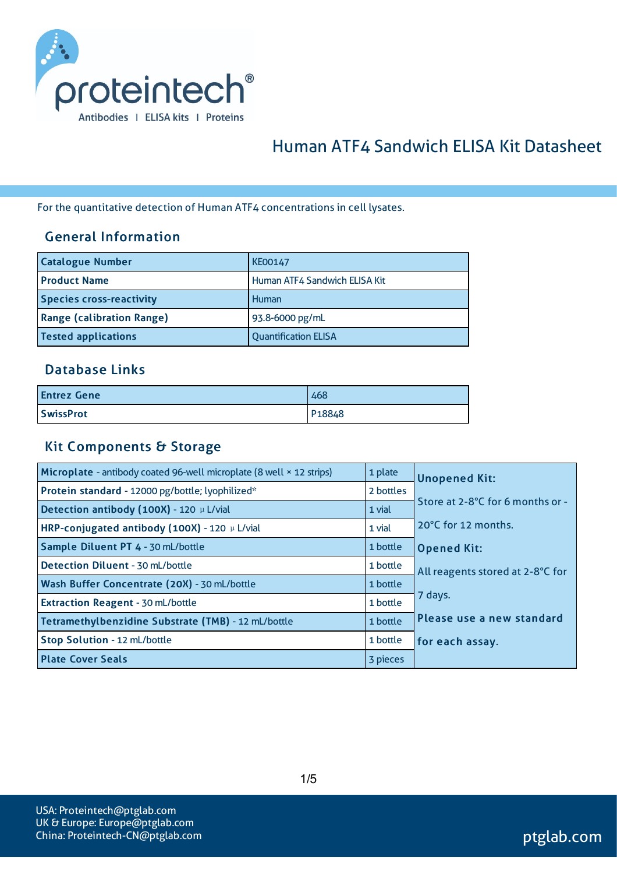

# Human ATF4 Sandwich ELISA Kit Datasheet

For the quantitative detection of Human ATF4 concentrations in cell lysates.

#### General Information

| <b>Catalogue Number</b>          | <b>KE00147</b>                |
|----------------------------------|-------------------------------|
| <b>Product Name</b>              | Human ATF4 Sandwich ELISA Kit |
| <b>Species cross-reactivity</b>  | Human                         |
| <b>Range (calibration Range)</b> | 93.8-6000 pg/mL               |
| <b>Tested applications</b>       | <b>Quantification ELISA</b>   |

#### Database Links

| <b>Entrez Gene</b> | 468    |
|--------------------|--------|
| <b>SwissProt</b>   | P18848 |

#### Kit Components & Storage

| Microplate - antibody coated 96-well microplate (8 well × 12 strips) | 1 plate   | <b>Unopened Kit:</b>             |
|----------------------------------------------------------------------|-----------|----------------------------------|
| Protein standard - 12000 pg/bottle; lyophilized*                     | 2 bottles |                                  |
| Detection antibody (100X) - 120 µ L/vial                             | 1 vial    | Store at 2-8°C for 6 months or - |
| HRP-conjugated antibody (100X) - 120 µ L/vial                        | 1 vial    | 20°C for 12 months.              |
| Sample Diluent PT 4 - 30 mL/bottle                                   | 1 bottle  | <b>Opened Kit:</b>               |
| Detection Diluent - 30 mL/bottle                                     | 1 bottle  | All reagents stored at 2-8°C for |
| Wash Buffer Concentrate (20X) - 30 mL/bottle                         | 1 bottle  |                                  |
| Extraction Reagent - 30 mL/bottle                                    | 1 bottle  | 7 days.                          |
| Tetramethylbenzidine Substrate (TMB) - 12 mL/bottle                  | 1 bottle  | Please use a new standard        |
| Stop Solution - 12 mL/bottle                                         | 1 bottle  | for each assay.                  |
| <b>Plate Cover Seals</b>                                             | 3 pieces  |                                  |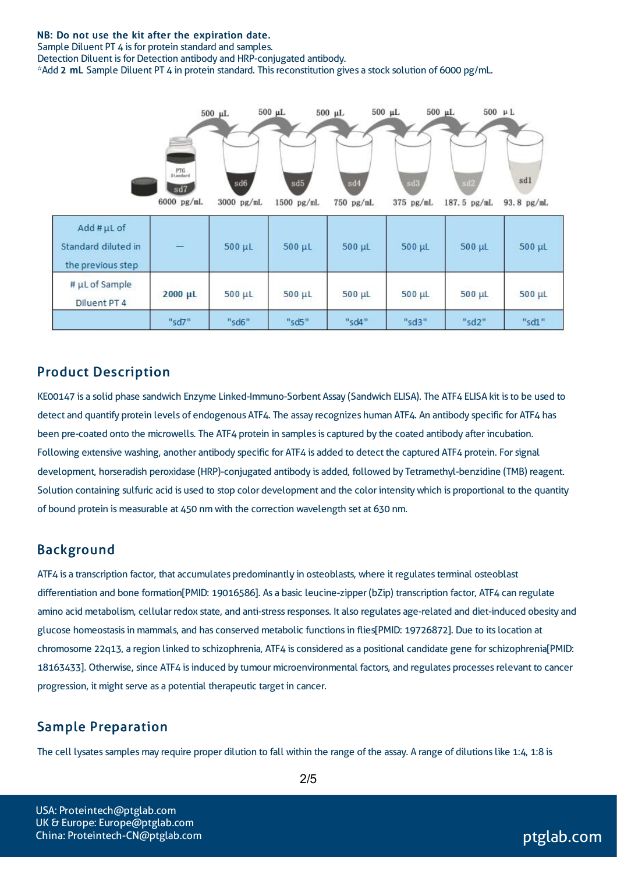#### NB: Do not use the kit after the expiration date.

Sample Diluent PT 4 is for protein standard and samples.

Detection Diluent is for Detection antibody and HRP-conjugated antibody.

\*Add 2 mL Sample Diluent PT 4 in protein standard. Thisreconstitution gives a stock solution of 6000 pg/mL.



#### Product Description

KE00147 is a solid phase sandwich Enzyme Linked-Immuno-Sorbent Assay (Sandwich ELISA). The ATF4 ELISA kit isto be used to detect and quantify protein levels of endogenous ATF4. The assay recognizes human ATF4. An antibody specific for ATF4 has been pre-coated onto the microwells. The ATF4 protein in samples is captured by the coated antibody after incubation. Following extensive washing, another antibody specific for ATF4 is added to detect the captured ATF4 protein. Forsignal development, horseradish peroxidase (HRP)-conjugated antibody is added, followed by Tetramethyl-benzidine (TMB) reagent. Solution containing sulfuric acid is used to stop color development and the color intensitywhich is proportional to the quantity of bound protein is measurable at 450 nm with the correction wavelength set at 630 nm.

#### Background

ATF4 is a transcription factor, that accumulates predominantly in osteoblasts, where it regulates terminal osteoblast differentiation and bone formation[PMID: 19016586]. As a basic leucine-zipper (bZip) transcription factor, ATF4 can regulate amino acid metabolism, cellular redox state, and anti-stress responses. It also regulates age-related and diet-induced obesity and glucose homeostasisin mammals, and has conserved metabolic functionsin flies[PMID: 19726872]. Due to itslocation at chromosome 22q13, a region linked to schizophrenia, ATF4 is considered as a positional candidate gene forschizophrenia[PMID: 18163433]. Otherwise, since ATF4 isinduced by tumour microenvironmental factors, and regulates processesrelevant to cancer progression, it might serve as a potential therapeutic target in cancer.

#### Sample Preparation

The cell lysates samples may require proper dilution to fall within the range of the assay. A range of dilutions like 1:4, 1:8 is

USA: Proteintech@ptglab.com UK & Europe: Europe@ptglab.com China: Proteintech-CN@ptglab.com and ptglab.com ptglab.com ptglab.com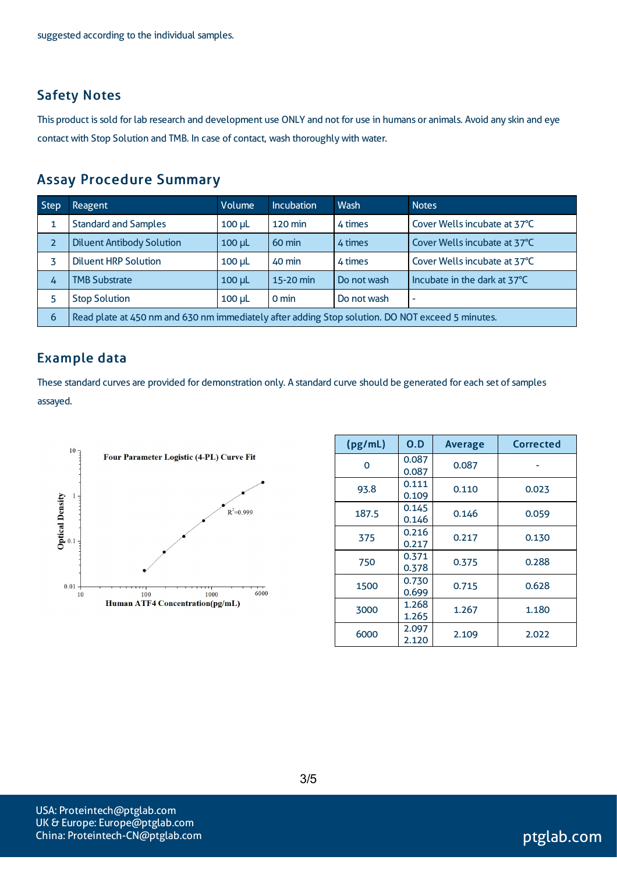#### Safety Notes

This product is sold for lab research and development use ONLY and not for use in humans or animals. Avoid any skin and eye contact with Stop Solution and TMB. In case of contact, wash thoroughly with water.

#### Assay Procedure Summary

| <b>Step</b> | Reagent                                                                                          | Volume        | <b>Incubation</b> | Wash        | <b>Notes</b>                 |
|-------------|--------------------------------------------------------------------------------------------------|---------------|-------------------|-------------|------------------------------|
|             | <b>Standard and Samples</b>                                                                      | $100$ $\mu$   | 120 min           | 4 times     | Cover Wells incubate at 37°C |
| 2           | <b>Diluent Antibody Solution</b>                                                                 | $100 \mu L$   | $60 \text{ min}$  | 4 times     | Cover Wells incubate at 37°C |
|             | <b>Diluent HRP Solution</b>                                                                      | $100$ $\mu$ L | 40 min            | 4 times     | Cover Wells incubate at 37°C |
| 4           | <b>TMB Substrate</b>                                                                             | $100$ $\mu$   | 15-20 min         | Do not wash | Incubate in the dark at 37°C |
|             | <b>Stop Solution</b>                                                                             | $100$ $\mu$   | 0 min             | Do not wash | $\overline{\phantom{a}}$     |
| 6           | Read plate at 450 nm and 630 nm immediately after adding Stop solution. DO NOT exceed 5 minutes. |               |                   |             |                              |

#### Example data

These standard curves are provided for demonstration only. A standard curve should be generated for each set of samples assayed.



| (pg/mL)  | O.D            | <b>Average</b> | <b>Corrected</b> |
|----------|----------------|----------------|------------------|
| $\Omega$ | 0.087<br>0.087 | 0.087          |                  |
| 93.8     | 0.111<br>0.109 | 0.110          | 0.023            |
| 187.5    | 0.145<br>0.146 | 0.146          | 0.059            |
| 375      | 0.216<br>0.217 | 0.217          | 0.130            |
| 750      | 0.371<br>0.378 | 0.375          | 0.288            |
| 1500     | 0.730<br>0.699 | 0.715          | 0.628            |
| 3000     | 1.268<br>1.265 | 1.267          | 1.180            |
| 6000     | 2.097<br>2.120 | 2.109          | 2.022            |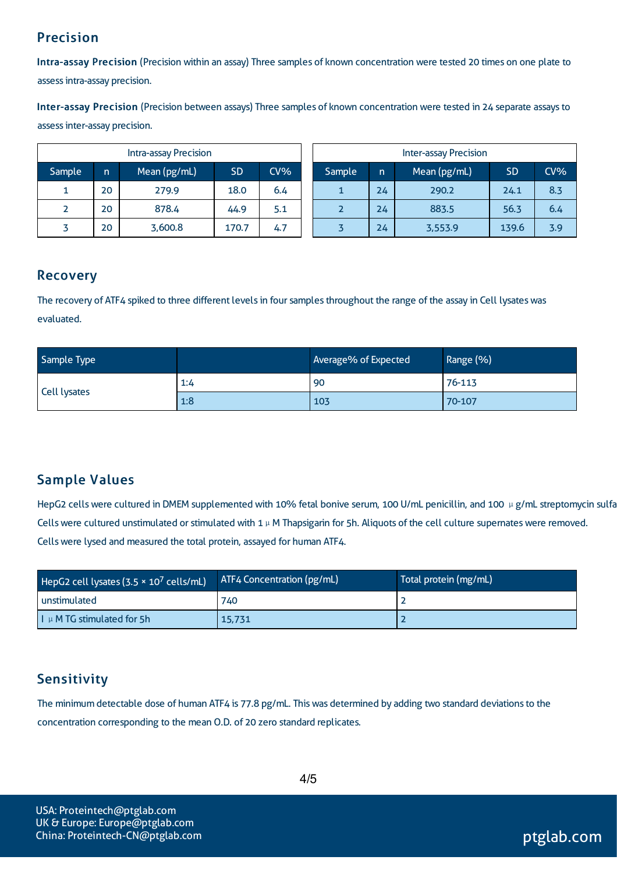# Precision

Intra-assay Precision (Precision within an assay) Three samples of known concentration were tested 20 times on one plate to assessintra-assay precision.

Inter-assay Precision (Precision between assays) Three samples of known concentration were tested in 24 separate assaysto assessinter-assay precision.

| <b>Intra-assay Precision</b> |    |              |           | <b>Inter-assay Precision</b> |  |        |    |              |           |        |
|------------------------------|----|--------------|-----------|------------------------------|--|--------|----|--------------|-----------|--------|
| Sample                       | n. | Mean (pg/mL) | <b>SD</b> | CV%                          |  | Sample | n. | Mean (pg/mL) | <b>SD</b> | $CV\%$ |
|                              | 20 | 279.9        | 18.0      | 6.4                          |  |        | 24 | 290.2        | 24.1      | 8.3    |
|                              | 20 | 878.4        | 44.9      | 5.1                          |  |        | 24 | 883.5        | 56.3      | 6.4    |
|                              | 20 | 3,600.8      | 170.7     | 4.7                          |  |        | 24 | 3,553.9      | 139.6     | 3.9    |

### Recovery

The recovery of ATF4 spiked to three different levels in four samples throughout the range of the assay in Cell lysates was evaluated.

| Sample Type  |     | Average% of Expected | Range (%) |
|--------------|-----|----------------------|-----------|
|              | 1:4 | 90                   | 76-113    |
| Cell lysates | 1:8 | 103                  | 70-107    |

# Sample Values

HepG2 cells were cultured in DMEM supplemented with 10% fetal bonive serum, 100 U/mL penicillin, and 100 μg/mL streptomycin sulfa Cells were cultured unstimulated or stimulated with 1 µ M Thapsigarin for 5h. Aliquots of the cell culture supernates were removed. Cellswere lysed and measured the total protein, assayed for human ATF4.

| HepG2 cell lysates (3.5 $\times$ 10 <sup>7</sup> cells/mL) | ATF4 Concentration (pg/mL) | Total protein (mg/mL) |
|------------------------------------------------------------|----------------------------|-----------------------|
| unstimulated                                               | 740                        |                       |
| $\vert \vert \vert$ µ M TG stimulated for 5h               | 15,731                     |                       |

# Sensitivity

The minimum detectable dose of human ATF4 is 77.8 pg/mL. This was determined by adding two standard deviations to the concentration corresponding to the mean O.D. of 20 zero standard replicates.